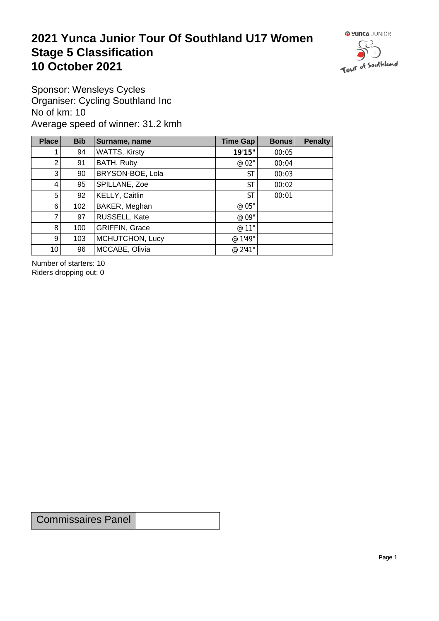## **2021 Yunca Junior Tour Of Southland U17 Women** Stage 5 Classification<br>10 October 2021 **10 October 2021**



Sponsor: Wensleys Cycles Organiser: Cycling Southland Inc No of km: 10 Average speed of winner: 31.2 kmh

| Place           | <b>Bib</b> | Surname, name         | Time Gap  | <b>Bonus</b> | <b>Penalty</b> |
|-----------------|------------|-----------------------|-----------|--------------|----------------|
| 1.              | 94         | <b>WATTS, Kirsty</b>  | 19'15"    | 00:05        |                |
| 2 <sub>1</sub>  | 91         | BATH, Ruby            | @ 02"     | 00:04        |                |
| 3 <sup>1</sup>  | 90         | BRYSON-BOE, Lola      | ST        | 00:03        |                |
| $\vert 4 \vert$ | 95         | SPILLANE, Zoe         | <b>ST</b> | 00:02        |                |
| 5 <sup>1</sup>  | 92         | KELLY, Caitlin        | <b>ST</b> | 00:01        |                |
| $6 \mid$        | 102        | BAKER, Meghan         | @ 05"     |              |                |
| $\overline{7}$  | 97         | RUSSELL, Kate         | @ 09"     |              |                |
| 8               | 100        | <b>GRIFFIN, Grace</b> | @ 11"     |              |                |
| 9 <sup>°</sup>  | 103        | MCHUTCHON, Lucy       | @ 1'49"   |              |                |
| 10 <sup>1</sup> | 96         | MCCABE, Olivia        | @ 2'41"   |              |                |

Number of starters: 10 Riders dropping out: 0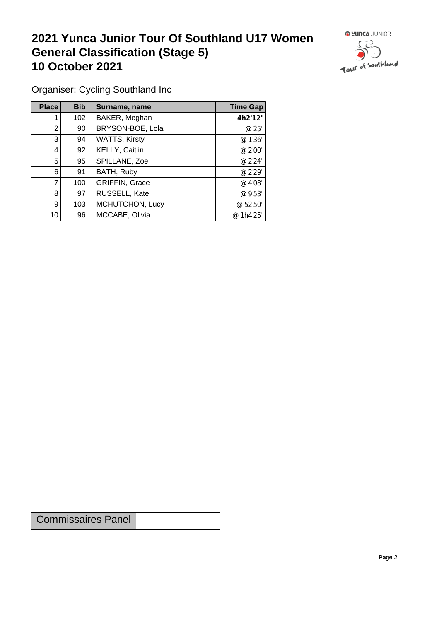## **2021 Yunca Junior Tour Of Southland U17 Women General Classification (Stage 5)**<br> **10 October 2021 10 October 2021**



Organiser: Cycling Southland Inc

| Place | <b>Bib</b> | Surname, name        | <b>Time Gap</b> |
|-------|------------|----------------------|-----------------|
|       | 102        | BAKER, Meghan        | 4h2'12"         |
| 2     | 90         | BRYSON-BOE, Lola     | @ 25"           |
| 3     | 94         | <b>WATTS, Kirsty</b> | @ 1'36"         |
| 4     | 92         | KELLY, Caitlin       | @ 2'00"         |
| 5     | 95         | SPILLANE, Zoe        | @ 2'24"         |
| 6     | 91         | BATH, Ruby           | @ 2'29"         |
| 7     | 100        | GRIFFIN, Grace       | @ 4'08"         |
| 8     | 97         | RUSSELL, Kate        | @ 9'53"         |
| 9     | 103        | MCHUTCHON, Lucy      | @ 52'50"        |
| 10    | 96         | MCCABE, Olivia       | @ 1h4'25"       |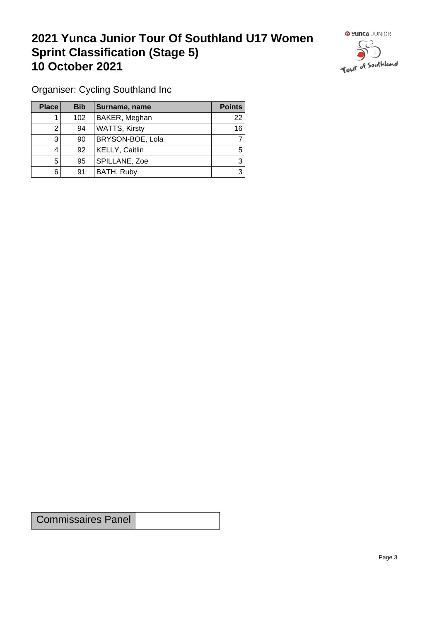## **2021 Yunca Junior Tour Of Southland U17 Women Sprint Classification (Stage 5) 10 October 2021 10 October 2021**



Organiser: Cycling Southland Inc

| <b>Place</b> | <b>Bib</b> | Surname, name        | <b>Points</b> |
|--------------|------------|----------------------|---------------|
|              | 102        | BAKER, Meghan        | 22            |
|              | 94         | <b>WATTS, Kirsty</b> | 16            |
| 3            | 90         | BRYSON-BOE, Lola     |               |
|              | 92         | KELLY, Caitlin       | 5             |
| 5            | 95         | SPILLANE, Zoe        | 3             |
| 6            | 91         | BATH, Ruby           | 3             |